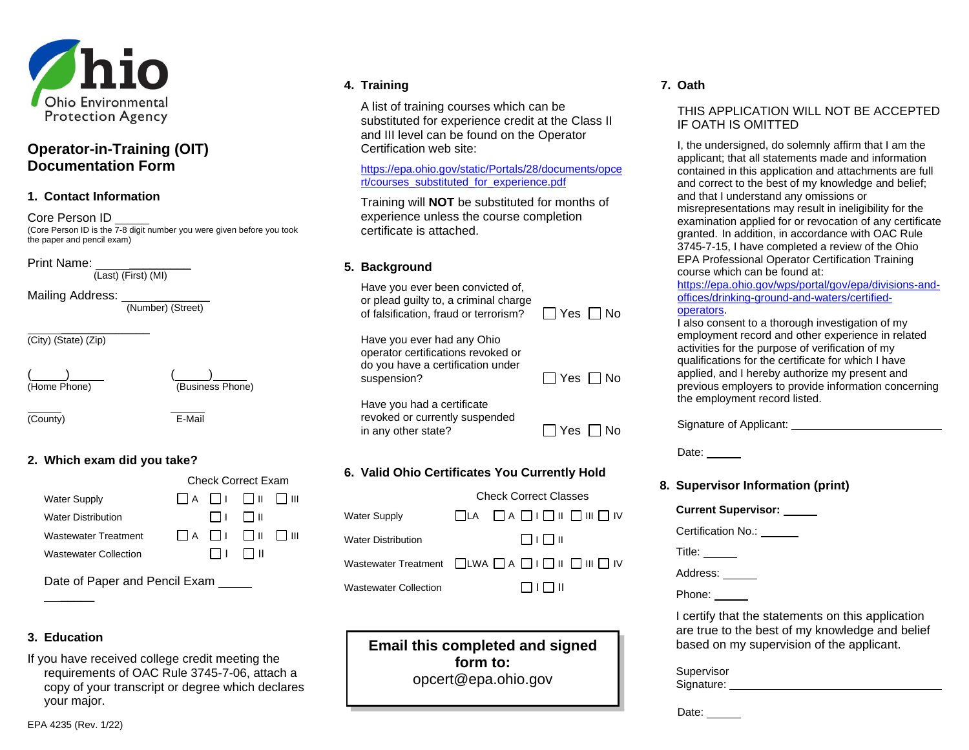

# **Operator-in-Training (OIT) Documentation Form**

#### **1. Contact Information**

Core Person ID (Core Person ID is the 7-8 digit number you were given before you took the paper and pencil exam)

Print Name: \_\_\_\_\_\_\_\_\_\_\_\_\_\_\_\_

(Last) (First) (MI)

Mailing Address: \_\_\_\_\_\_\_\_\_\_\_\_\_\_\_

(Number) (Street)

\_\_\_\_\_\_\_\_\_\_\_\_\_ (City) (State) (Zip)

 $\frac{1}{\frac{1}{2}}$  (Home Phone)

(Business Phone)

(County) E-Mail

# **2. Which exam did you take?**

|                              | <b>Check Correct Exam</b> |  |                                        |  |
|------------------------------|---------------------------|--|----------------------------------------|--|
| <b>Water Supply</b>          |                           |  |                                        |  |
| <b>Water Distribution</b>    |                           |  | 1 1 1 1 1 1 1 1 1 1                    |  |
| <b>Wastewater Treatment</b>  |                           |  | $\Box A$ $\Box I$ $\Box II$ $\Box III$ |  |
| <b>Wastewater Collection</b> |                           |  | $\Box$ l III                           |  |
|                              |                           |  |                                        |  |

Date of Paper and Pencil Exam  $\overline{\phantom{a}}$ 

# **3. Education**

If you have received college credit meeting the requirements of OAC Rule 3745-7-06, attach a copy of your transcript or degree which declares your major.

#### **4. Training**

A list of training courses which can be substituted for experience credit at the Class II and III level can be found on the Operator Certification web site:

#### [https://epa.ohio.gov/static/Portals/28/documents/opce](https://epa.ohio.gov/static/Portals/28/documents/opcert/courses_substituted_for_experience.pdf) [rt/courses\\_substituted\\_for\\_experience.pdf](https://epa.ohio.gov/static/Portals/28/documents/opcert/courses_substituted_for_experience.pdf)

Training will **NOT** be substituted for months of experience unless the course completion certificate is attached.

### **5. Background**

Have you ever been convicted of, or plead guilty to, a criminal charge of falsification, fraud or terrorism?

| Yes. | l No |
|------|------|

Have you ever had any Ohio operator certifications revoked or do you have a certification under suspension?

| YAS | l No |
|-----|------|

Have you had a certificate revoked or currently suspended in any other state?  $\Box$  Yes  $\Box$  No

# **6. Valid Ohio Certificates You Currently Hold**

|                                                                                  | <b>Check Correct Classes</b> |  |                    |                                                                                |
|----------------------------------------------------------------------------------|------------------------------|--|--------------------|--------------------------------------------------------------------------------|
| Water Supply                                                                     |                              |  |                    | $\Box LA \quad \Box A \quad \Box I \quad \Box II \quad \Box III \quad \Box IV$ |
| Water Distribution                                                               |                              |  | $\Box$ l I III     |                                                                                |
| Wastewater Treatment $\Box$ LWA $\Box$ A $\Box$ I $\Box$ II $\Box$ III $\Box$ IV |                              |  |                    |                                                                                |
| Wastewater Collection                                                            |                              |  | $\Box$ l $\Box$ ll |                                                                                |

# **Email this completed and signed form to:** opcert@epa.ohio.gov

### **7. Oath**

#### THIS APPLICATION WILL NOT BE ACCEPTED IF OATH IS OMITTED

I, the undersigned, do solemnly affirm that I am the applicant; that all statements made and information contained in this application and attachments are full and correct to the best of my knowledge and belief; and that I understand any omissions or misrepresentations may result in ineligibility for the examination applied for or revocation of any certificate granted. In addition, in accordance with OAC Rule 3745-7-15, I have completed a review of the Ohio EPA Professional Operator Certification Training course which can be found at:

[https://epa.ohio.gov/wps/portal/gov/epa/divisions-and](https://epa.ohio.gov/wps/portal/gov/epa/divisions-and-offices/drinking-ground-and-waters/certified-operators)[offices/drinking-ground-and-waters/certified](https://epa.ohio.gov/wps/portal/gov/epa/divisions-and-offices/drinking-ground-and-waters/certified-operators)[operators.](https://epa.ohio.gov/wps/portal/gov/epa/divisions-and-offices/drinking-ground-and-waters/certified-operators)

I also consent to a thorough investigation of my employment record and other experience in related activities for the purpose of verification of my qualifications for the certificate for which I have applied, and I hereby authorize my present and previous employers to provide information concerning the employment record listed.

Signature of Applicant: Networkship

Date:

#### **8. Supervisor Information (print)**

**Current Supervisor:** 

Certification No.:

Title:

Address:

Phone:

I certify that the statements on this application are true to the best of my knowledge and belief based on my supervision of the applicant.

Supervisor Signature: